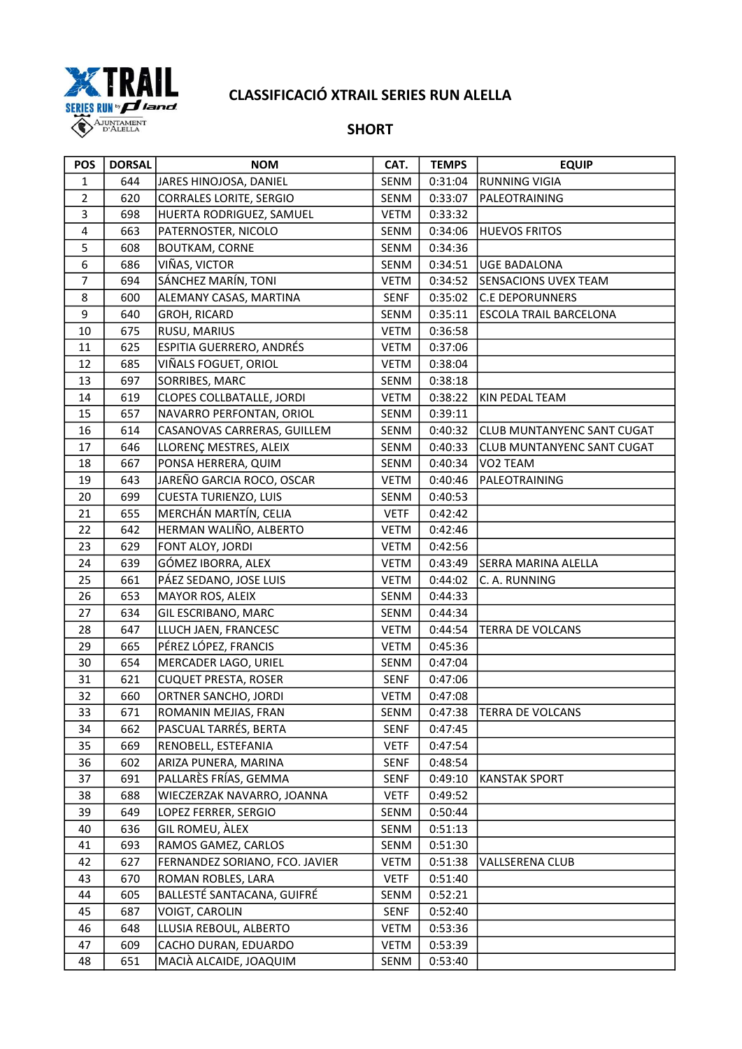

## CLASSIFICACIÓ XTRAIL SERIES RUN ALELLA

## **SHORT**

| <b>POS</b>     | <b>DORSAL</b> | <b>NOM</b>                       | CAT.        | <b>TEMPS</b> | <b>EQUIP</b>               |
|----------------|---------------|----------------------------------|-------------|--------------|----------------------------|
| $\mathbf{1}$   | 644           | JARES HINOJOSA, DANIEL           | SENM        | 0:31:04      | <b>RUNNING VIGIA</b>       |
| $\overline{2}$ | 620           | <b>CORRALES LORITE, SERGIO</b>   | SENM        | 0:33:07      | PALEOTRAINING              |
| 3              | 698           | HUERTA RODRIGUEZ, SAMUEL         | <b>VETM</b> | 0:33:32      |                            |
| $\pmb{4}$      | 663           | PATERNOSTER, NICOLO              | SENM        | 0:34:06      | <b>HUEVOS FRITOS</b>       |
| 5              | 608           | <b>BOUTKAM, CORNE</b>            | SENM        | 0:34:36      |                            |
| 6              | 686           | VIÑAS, VICTOR                    | SENM        | 0:34:51      | <b>UGE BADALONA</b>        |
| $\overline{7}$ | 694           | SÁNCHEZ MARÍN, TONI              | VETM        | 0:34:52      | SENSACIONS UVEX TEAM       |
| 8              | 600           | ALEMANY CASAS, MARTINA           | <b>SENF</b> | 0:35:02      | <b>C.E DEPORUNNERS</b>     |
| 9              | 640           | GROH, RICARD                     | SENM        | 0:35:11      | ESCOLA TRAIL BARCELONA     |
| 10             | 675           | RUSU, MARIUS                     | <b>VETM</b> | 0:36:58      |                            |
| 11             | 625           | ESPITIA GUERRERO, ANDRÉS         | <b>VETM</b> | 0:37:06      |                            |
| 12             | 685           | VIÑALS FOGUET, ORIOL             | VETM        | 0:38:04      |                            |
| 13             | 697           | SORRIBES, MARC                   | SENM        | 0:38:18      |                            |
| 14             | 619           | <b>CLOPES COLLBATALLE, JORDI</b> | <b>VETM</b> | 0:38:22      | KIN PEDAL TEAM             |
| 15             | 657           | NAVARRO PERFONTAN, ORIOL         | SENM        | 0:39:11      |                            |
| 16             | 614           | CASANOVAS CARRERAS, GUILLEM      | SENM        | 0:40:32      | CLUB MUNTANYENC SANT CUGAT |
| 17             | 646           | LLORENÇ MESTRES, ALEIX           | SENM        | 0:40:33      | CLUB MUNTANYENC SANT CUGAT |
| 18             | 667           | PONSA HERRERA, QUIM              | SENM        | 0:40:34      | VO2 TEAM                   |
| 19             | 643           | JAREÑO GARCIA ROCO, OSCAR        | <b>VETM</b> | 0:40:46      | PALEOTRAINING              |
| 20             | 699           | <b>CUESTA TURIENZO, LUIS</b>     | SENM        | 0:40:53      |                            |
| 21             | 655           | MERCHÁN MARTÍN, CELIA            | <b>VETF</b> | 0:42:42      |                            |
| 22             | 642           | HERMAN WALIÑO, ALBERTO           | <b>VETM</b> | 0:42:46      |                            |
| 23             | 629           | FONT ALOY, JORDI                 | VETM        | 0:42:56      |                            |
| 24             | 639           | GÓMEZ IBORRA, ALEX               | <b>VETM</b> | 0:43:49      | SERRA MARINA ALELLA        |
| 25             | 661           | PÁEZ SEDANO, JOSE LUIS           | <b>VETM</b> | 0:44:02      | C. A. RUNNING              |
| 26             | 653           | MAYOR ROS, ALEIX                 | SENM        | 0:44:33      |                            |
| 27             | 634           | GIL ESCRIBANO, MARC              | SENM        | 0:44:34      |                            |
| 28             | 647           | LLUCH JAEN, FRANCESC             | <b>VETM</b> | 0:44:54      | <b>TERRA DE VOLCANS</b>    |
| 29             | 665           | PÉREZ LÓPEZ, FRANCIS             | <b>VETM</b> | 0:45:36      |                            |
| 30             | 654           | MERCADER LAGO, URIEL             | SENM        | 0:47:04      |                            |
| 31             | 621           | <b>CUQUET PRESTA, ROSER</b>      | <b>SENF</b> | 0:47:06      |                            |
| 32             | 660           | ORTNER SANCHO, JORDI             | VETM        | 0:47:08      |                            |
| 33             | 671           | ROMANIN MEJIAS, FRAN             | SENM        |              | 0:47:38  TERRA DE VOLCANS  |
| 34             | 662           | PASCUAL TARRÉS, BERTA            | <b>SENF</b> | 0:47:45      |                            |
| 35             | 669           | RENOBELL, ESTEFANIA              | <b>VETF</b> | 0:47:54      |                            |
| 36             | 602           | ARIZA PUNERA, MARINA             | SENF        | 0:48:54      |                            |
| 37             | 691           | PALLARÈS FRÍAS, GEMMA            | <b>SENF</b> | 0:49:10      | <b>KANSTAK SPORT</b>       |
| 38             | 688           | WIECZERZAK NAVARRO, JOANNA       | <b>VETF</b> | 0:49:52      |                            |
| 39             | 649           | LOPEZ FERRER, SERGIO             | SENM        | 0:50:44      |                            |
| 40             | 636           | GIL ROMEU, ÀLEX                  | SENM        | 0:51:13      |                            |
| 41             | 693           | RAMOS GAMEZ, CARLOS              | SENM        | 0:51:30      |                            |
| 42             | 627           | FERNANDEZ SORIANO, FCO. JAVIER   | <b>VETM</b> | 0:51:38      | VALLSERENA CLUB            |
| 43             | 670           | ROMAN ROBLES, LARA               | <b>VETF</b> | 0:51:40      |                            |
| 44             | 605           | BALLESTÉ SANTACANA, GUIFRÉ       | SENM        | 0:52:21      |                            |
| 45             | 687           | VOIGT, CAROLIN                   | <b>SENF</b> | 0:52:40      |                            |
| 46             | 648           | LLUSIA REBOUL, ALBERTO           | <b>VETM</b> | 0:53:36      |                            |
| 47             | 609           | CACHO DURAN, EDUARDO             | <b>VETM</b> | 0:53:39      |                            |
| 48             | 651           | MACIÀ ALCAIDE, JOAQUIM           | SENM        | 0:53:40      |                            |